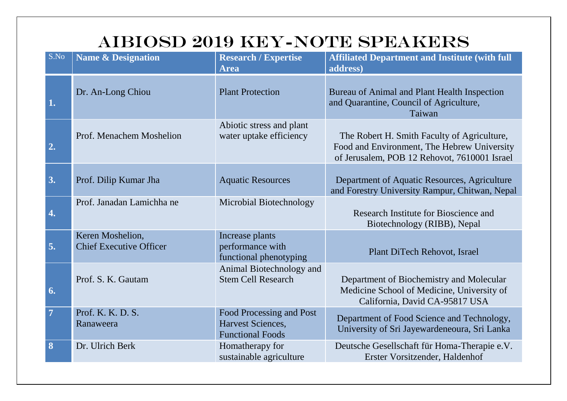## AIBIOSD 2019 KEY-NOTE SPEAKERS

| S.No           | <b>Name &amp; Designation</b>                      | <b>Research / Expertise</b><br><b>Area</b>                               | <b>Affiliated Department and Institute (with full</b><br>address)                                                                          |
|----------------|----------------------------------------------------|--------------------------------------------------------------------------|--------------------------------------------------------------------------------------------------------------------------------------------|
| 1.             | Dr. An-Long Chiou                                  | <b>Plant Protection</b>                                                  | Bureau of Animal and Plant Health Inspection<br>and Quarantine, Council of Agriculture,<br>Taiwan                                          |
| 2.             | Prof. Menachem Moshelion                           | Abiotic stress and plant<br>water uptake efficiency                      | The Robert H. Smith Faculty of Agriculture,<br>Food and Environment, The Hebrew University<br>of Jerusalem, POB 12 Rehovot, 7610001 Israel |
| 3.             | Prof. Dilip Kumar Jha                              | <b>Aquatic Resources</b>                                                 | Department of Aquatic Resources, Agriculture<br>and Forestry University Rampur, Chitwan, Nepal                                             |
| 4.             | Prof. Janadan Lamichha ne                          | Microbial Biotechnology                                                  | Research Institute for Bioscience and<br>Biotechnology (RIBB), Nepal                                                                       |
| 5.             | Keren Moshelion,<br><b>Chief Executive Officer</b> | Increase plants<br>performance with<br>functional phenotyping            | Plant DiTech Rehovot, Israel                                                                                                               |
| 6.             | Prof. S. K. Gautam                                 | Animal Biotechnology and<br><b>Stem Cell Research</b>                    | Department of Biochemistry and Molecular<br>Medicine School of Medicine, University of<br>California, David CA-95817 USA                   |
| $\overline{7}$ | Prof. K. K. D. S.<br>Ranaweera                     | Food Processing and Post<br>Harvest Sciences,<br><b>Functional Foods</b> | Department of Food Science and Technology,<br>University of Sri Jayewardeneoura, Sri Lanka                                                 |
| 8              | Dr. Ulrich Berk                                    | Homatherapy for<br>sustainable agriculture                               | Deutsche Gesellschaft für Homa-Therapie e.V.<br>Erster Vorsitzender, Haldenhof                                                             |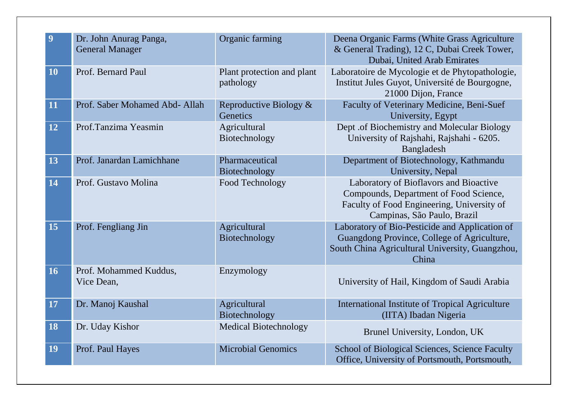| 9         | Dr. John Anurag Panga,<br><b>General Manager</b> | Organic farming                         | Deena Organic Farms (White Grass Agriculture<br>& General Trading), 12 C, Dubai Creek Tower,<br>Dubai, United Arab Emirates                                   |
|-----------|--------------------------------------------------|-----------------------------------------|---------------------------------------------------------------------------------------------------------------------------------------------------------------|
| <b>10</b> | Prof. Bernard Paul                               | Plant protection and plant<br>pathology | Laboratoire de Mycologie et de Phytopathologie,<br>Institut Jules Guyot, Université de Bourgogne,<br>21000 Dijon, France                                      |
| 11        | Prof. Saber Mohamed Abd- Allah                   | Reproductive Biology &<br>Genetics      | Faculty of Veterinary Medicine, Beni-Suef<br>University, Egypt                                                                                                |
| 12        | Prof.Tanzima Yeasmin                             | Agricultural<br>Biotechnology           | Dept .of Biochemistry and Molecular Biology<br>University of Rajshahi, Rajshahi - 6205.<br>Bangladesh                                                         |
| 13        | Prof. Janardan Lamichhane                        | Pharmaceutical<br>Biotechnology         | Department of Biotechnology, Kathmandu<br>University, Nepal                                                                                                   |
| 14        | Prof. Gustavo Molina                             | Food Technology                         | Laboratory of Bioflavors and Bioactive<br>Compounds, Department of Food Science,<br>Faculty of Food Engineering, University of<br>Campinas, São Paulo, Brazil |
| 15        | Prof. Fengliang Jin                              | Agricultural<br>Biotechnology           | Laboratory of Bio-Pesticide and Application of<br>Guangdong Province, College of Agriculture,<br>South China Agricultural University, Guangzhou,<br>China     |
| 16        | Prof. Mohammed Kuddus,<br>Vice Dean,             | Enzymology                              | University of Hail, Kingdom of Saudi Arabia                                                                                                                   |
| 17        | Dr. Manoj Kaushal                                | Agricultural<br>Biotechnology           | International Institute of Tropical Agriculture<br>(IITA) Ibadan Nigeria                                                                                      |
| 18        | Dr. Uday Kishor                                  | <b>Medical Biotechnology</b>            | Brunel University, London, UK                                                                                                                                 |
| <b>19</b> | Prof. Paul Hayes                                 | <b>Microbial Genomics</b>               | School of Biological Sciences, Science Faculty<br>Office, University of Portsmouth, Portsmouth,                                                               |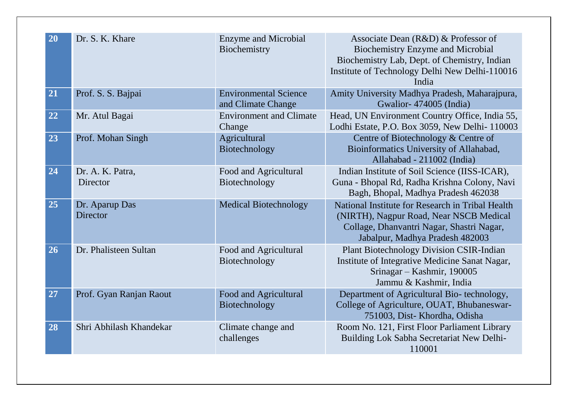| 20 | Dr. S. K. Khare                   | <b>Enzyme and Microbial</b><br>Biochemistry        | Associate Dean (R&D) & Professor of<br><b>Biochemistry Enzyme and Microbial</b><br>Biochemistry Lab, Dept. of Chemistry, Indian<br>Institute of Technology Delhi New Delhi-110016<br>India |
|----|-----------------------------------|----------------------------------------------------|--------------------------------------------------------------------------------------------------------------------------------------------------------------------------------------------|
| 21 | Prof. S. S. Bajpai                | <b>Environmental Science</b><br>and Climate Change | Amity University Madhya Pradesh, Maharajpura,<br>Gwalior-474005 (India)                                                                                                                    |
| 22 | Mr. Atul Bagai                    | <b>Environment and Climate</b><br>Change           | Head, UN Environment Country Office, India 55,<br>Lodhi Estate, P.O. Box 3059, New Delhi- 110003                                                                                           |
| 23 | Prof. Mohan Singh                 | Agricultural<br>Biotechnology                      | Centre of Biotechnology & Centre of<br>Bioinformatics University of Allahabad,<br>Allahabad - 211002 (India)                                                                               |
| 24 | Dr. A. K. Patra,<br>Director      | Food and Agricultural<br>Biotechnology             | Indian Institute of Soil Science (IISS-ICAR),<br>Guna - Bhopal Rd, Radha Krishna Colony, Navi<br>Bagh, Bhopal, Madhya Pradesh 462038                                                       |
| 25 | Dr. Aparup Das<br><b>Director</b> | <b>Medical Biotechnology</b>                       | National Institute for Research in Tribal Health<br>(NIRTH), Nagpur Road, Near NSCB Medical<br>Collage, Dhanvantri Nagar, Shastri Nagar,<br>Jabalpur, Madhya Pradesh 482003                |
| 26 | Dr. Phalisteen Sultan             | Food and Agricultural<br>Biotechnology             | <b>Plant Biotechnology Division CSIR-Indian</b><br>Institute of Integrative Medicine Sanat Nagar,<br>Srinagar - Kashmir, 190005<br>Jammu & Kashmir, India                                  |
| 27 | Prof. Gyan Ranjan Raout           | Food and Agricultural<br>Biotechnology             | Department of Agricultural Bio-technology,<br>College of Agriculture, OUAT, Bhubaneswar-<br>751003, Dist-Khordha, Odisha                                                                   |
| 28 | Shri Abhilash Khandekar           | Climate change and<br>challenges                   | Room No. 121, First Floor Parliament Library<br>Building Lok Sabha Secretariat New Delhi-<br>110001                                                                                        |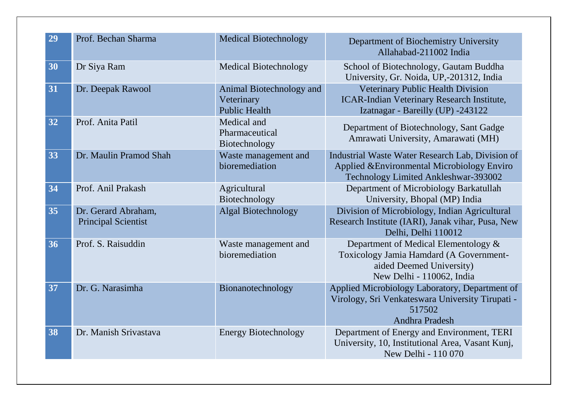| 29 | Prof. Bechan Sharma                               | <b>Medical Biotechnology</b>                                   | Department of Biochemistry University<br>Allahabad-211002 India                                                                          |
|----|---------------------------------------------------|----------------------------------------------------------------|------------------------------------------------------------------------------------------------------------------------------------------|
| 30 | Dr Siya Ram                                       | <b>Medical Biotechnology</b>                                   | School of Biotechnology, Gautam Buddha<br>University, Gr. Noida, UP,-201312, India                                                       |
| 31 | Dr. Deepak Rawool                                 | Animal Biotechnology and<br>Veterinary<br><b>Public Health</b> | Veterinary Public Health Division<br><b>ICAR-Indian Veterinary Research Institute,</b><br>Izatnagar - Bareilly (UP) -243122              |
| 32 | Prof. Anita Patil                                 | Medical and<br>Pharmaceutical<br>Biotechnology                 | Department of Biotechnology, Sant Gadge<br>Amrawati University, Amarawati (MH)                                                           |
| 33 | Dr. Maulin Pramod Shah                            | Waste management and<br>bioremediation                         | Industrial Waste Water Research Lab, Division of<br>Applied & Environmental Microbiology Enviro<br>Technology Limited Ankleshwar-393002  |
| 34 | Prof. Anil Prakash                                | Agricultural<br>Biotechnology                                  | Department of Microbiology Barkatullah<br>University, Bhopal (MP) India                                                                  |
| 35 | Dr. Gerard Abraham,<br><b>Principal Scientist</b> | <b>Algal Biotechnology</b>                                     | Division of Microbiology, Indian Agricultural<br>Research Institute (IARI), Janak vihar, Pusa, New<br>Delhi, Delhi 110012                |
| 36 | Prof. S. Raisuddin                                | Waste management and<br>bioremediation                         | Department of Medical Elementology &<br>Toxicology Jamia Hamdard (A Government-<br>aided Deemed University)<br>New Delhi - 110062, India |
| 37 | Dr. G. Narasimha                                  | Bionanotechnology                                              | Applied Microbiology Laboratory, Department of<br>Virology, Sri Venkateswara University Tirupati -<br>517502<br>Andhra Pradesh           |
| 38 | Dr. Manish Srivastava                             | <b>Energy Biotechnology</b>                                    | Department of Energy and Environment, TERI<br>University, 10, Institutional Area, Vasant Kunj,<br>New Delhi - 110 070                    |